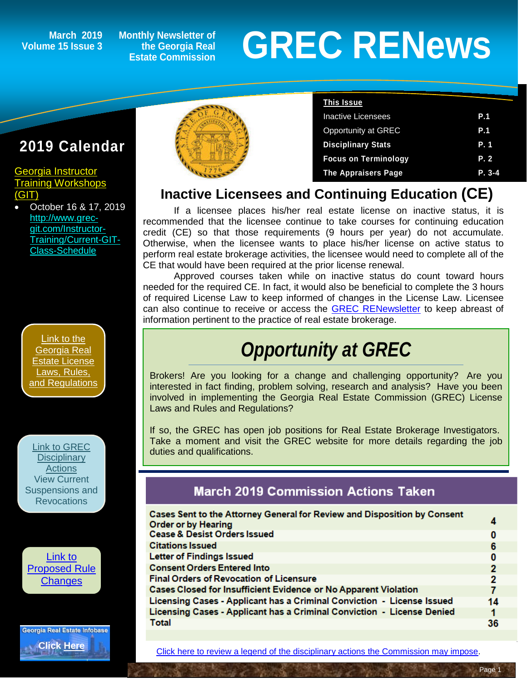## **Volume 15 Issue 3**

**Monthly Newsletter of the Georgia Real Estate Commission**

# March 2019 Monthly Newsletter of<br>
Estate Commission<br>
Estate Commission

### **2019 Calendar**

[Georgia Instructor](http://www.grec-git.com/Instructor-Training/Current-GIT-Class-Sched)  [Training Workshops](http://www.grec-git.com/Instructor-Training/Current-GIT-Class-Sched)  [\(GIT\)](http://www.grec-git.com/Instructor-Training/Current-GIT-Class-Sched)

• October 16 & 17, 2019 [http://www.grec](http://www.grec-git.com/Instructor-Training/Current-GIT-Class-Schedule)[git.com/Instructor-](http://www.grec-git.com/Instructor-Training/Current-GIT-Class-Schedule)[Training/Current-GIT-](http://www.grec-git.com/Instructor-Training/Current-GIT-Class-Schedule)[Class-Schedule](http://www.grec-git.com/Instructor-Training/Current-GIT-Class-Schedule)

[Link to the](http://www.grec.state.ga.us/about/relaw.html)  [Georgia Real](http://www.grec.state.ga.us/about/relaw.html)  [Estate License](http://www.grec.state.ga.us/about/relaw.html)  [Laws, Rules,](http://www.grec.state.ga.us/about/relaw.html)  [and Regulations](http://www.grec.state.ga.us/about/relaw.html)

[Link to GREC](http://www.grec.state.ga.us/about/resanctions.html)  **Disciplinary [Actions](http://www.grec.state.ga.us/about/resanctions.html)** View Current Suspensions and **Revocations** 

[Link to](http://www.grec.state.ga.us/about/reproposed.html)  [Proposed Rule](http://www.grec.state.ga.us/about/reproposed.html)  **[Changes](http://www.grec.state.ga.us/about/reproposed.html)** 

**Georgia Real Estate Infobase [Click Here](https://www.grec.state.ga.us/infobase/infobase.html)**



| <b>This Issue</b>           |          |
|-----------------------------|----------|
| <b>Inactive Licensees</b>   | P.1      |
| <b>Opportunity at GREC</b>  | P.1      |
| <b>Disciplinary Stats</b>   | P. 1     |
| <b>Focus on Terminology</b> | P.2      |
| <b>The Appraisers Page</b>  | $P. 3-4$ |

### **Inactive Licensees and Continuing Education (CE)**

If a licensee places his/her real estate license on inactive status, it is recommended that the licensee continue to take courses for continuing education credit (CE) so that those requirements (9 hours per year) do not accumulate. Otherwise, when the licensee wants to place his/her license on active status to perform real estate brokerage activities, the licensee would need to complete all of the CE that would have been required at the prior license renewal.

Approved courses taken while on inactive status do count toward hours needed for the required CE. In fact, it would also be beneficial to complete the 3 hours of required License Law to keep informed of changes in the License Law. Licensee can also continue to receive or access the [GREC RENewsletter](http://www.grec.state.ga.us/about/newsmeetings.html) to keep abreast of information pertinent to the practice of real estate brokerage.

## *Opportunity at GREC*

Brokers! Are you looking for a change and challenging opportunity? Are you interested in fact finding, problem solving, research and analysis? Have you been involved in implementing the Georgia Real Estate Commission (GREC) License Laws and Rules and Regulations?

If so, the GREC has open job positions for Real Estate Brokerage Investigators. Take a moment and visit the GREC website for more details regarding the job [duties and](http://www.grec.state.ga.us/about/resanctions.html) qualifications.

### **March 2019 Commission Actions Taken**

| Cases Sent to the Attorney General for Review and Disposition by Consent |          |
|--------------------------------------------------------------------------|----------|
| <b>Order or by Hearing</b>                                               |          |
| <b>Cease &amp; Desist Orders Issued</b>                                  | 0        |
| <b>Citations Issued</b>                                                  | 6        |
| <b>Letter of Findings Issued</b>                                         | 0        |
| <b>Consent Orders Entered Into</b>                                       | $\bf{z}$ |
| <b>Final Orders of Revocation of Licensure</b>                           | 2        |
| <b>Cases Closed for Insufficient Evidence or No Apparent Violation</b>   |          |
| Licensing Cases - Applicant has a Criminal Conviction - License Issued   | 14       |
| Licensing Cases - Applicant has a Criminal Conviction - License Denied   |          |
| <b>Total</b>                                                             | 36       |
|                                                                          |          |

[Click here to review a legend of the disciplinary actions the Commission may impose.](https://www.jmre.com/grec/GRECDisciplinaryTools.pdf)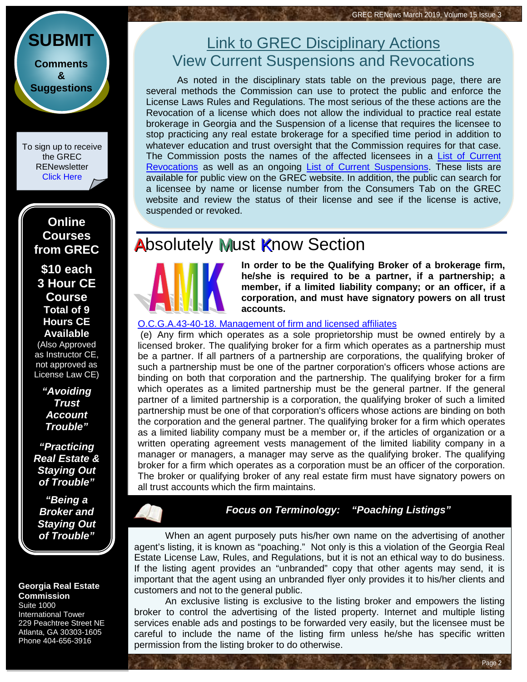**[Comments](http://www.jmre.com/grecrenewscomments2014.htm) [&](http://www.jmre.com/grecrenewscomments2014.htm) [Suggestions](http://www.jmre.com/grecrenewscomments2014.htm)**

**[SUBMIT](http://www.jmre.com/grecrenewscomments2014.htm)**

To sign up to receive the GREC RENewsletter [Click Here](https://www.grec.state.ga.us/about/subscribe.html)

### **Online Courses from GREC**

**[\\$10 each](http://www.jmre.com/grec) [3 Hour CE](http://www.jmre.com/grec)  [Course](http://www.jmre.com/grec) [Total of 9](http://www.jmre.com/grec)  [Hours CE](http://www.jmre.com/grec)  [Available](http://www.jmre.com/grec)**

[\(Also Approved](http://www.jmre.com/grec)  [as Instructor CE,](http://www.jmre.com/grec)  [not approved as](http://www.jmre.com/grec)  [License Law CE\)](http://www.jmre.com/grec)

> *["Avoiding](http://www.jmre.com/grec)  [Trust](http://www.jmre.com/grec)  [Account](http://www.jmre.com/grec)  [Trouble"](http://www.jmre.com/grec)*

*["Practicing](http://www.jmre.com/grec)  [Real Estate &](http://www.jmre.com/grec)  [Staying Out](http://www.jmre.com/grec)  [of Trouble"](http://www.jmre.com/grec)*

*["Being a](http://www.jmre.com/grec)  [Broker and](http://www.jmre.com/grec)  [Staying Out](http://www.jmre.com/grec)  [of Trouble"](http://www.jmre.com/grec)*

#### **Georgia Real Estate Commission**

Suite 1000 International Tower 229 Peachtree Street NE Atlanta, GA 30303-1605 Phone 404-656-3916

### [Link to GREC Disciplinary Actions](http://www.grec.state.ga.us/about/resanctions.html) [View Current Suspensions and Revocations](http://www.grec.state.ga.us/about/resanctions.html)

As noted in the disciplinary stats table on the previous page, there are several methods the Commission can use to protect the public and enforce the License Laws Rules and Regulations. The most serious of the these actions are the Revocation of a license which does not allow the individual to practice real estate brokerage in Georgia and the Suspension of a license that requires the licensee to stop practicing any real estate brokerage for a specified time period in addition to whatever education and trust oversight that the Commission requires for that case. The Commission posts the names of the affected licensees in a [List of Current](http://grec.state.ga.us/PDFS/About/GRECRevocations.pdf)  [Revocations](http://grec.state.ga.us/PDFS/About/GRECRevocations.pdf) as well as an ongoing [List of Current Suspensions.](http://grec.state.ga.us/PDFS/About/GRECSuspensions.pdf) These lists are available for public view on the GREC website. In addition, the public can search for a licensee by name or license number from the Consumers Tab on the GREC website and review the status of their license and see if the license is active, suspended or revoked.

### **Absolutely Must Know Section**



**In order to be the Qualifying Broker of a brokerage firm, he/she is required to be a partner, if a partnership; a member, if a limited liability company; or an officer, if a corporation, and must have signatory powers on all trust accounts.**

#### O.C.G.A.43-40-18. [Management of firm and licensed affiliates](http://www.grec.state.ga.us/about/relaw.html)

(e) Any firm which operates as a sole proprietorship must be owned entirely by a licensed broker. The qualifying broker for a firm which operates as a partnership must be a partner. If all partners of a partnership are corporations, the qualifying broker of such a partnership must be one of the partner corporation's officers whose actions are binding on both that corporation and the partnership. The qualifying broker for a firm which operates as a limited partnership must be the general partner. If the general partner of a limited partnership is a corporation, the qualifying broker of such a limited partnership must be one of that corporation's officers whose actions are binding on both the corporation and the general partner. The qualifying broker for a firm which operates as a limited liability company must be a member or, if the articles of organization or a written operating agreement vests management of the limited liability company in a manager or managers, a manager may serve as the qualifying broker. The qualifying broker for a firm which operates as a corporation must be an officer of the corporation. The broker or qualifying broker of any real estate firm must have signatory powers on all trust accounts which the firm maintains.

*Focus on Terminology: "Poaching Listings"*

When an agent purposely puts his/her own name on the advertising of another agent's listing, it is known as "poaching." Not only is this a violation of the Georgia Real Estate License Law, Rules, and Regulations, but it is not an ethical way to do business. If the listing agent provides an "unbranded" copy that other agents may send, it is important that the agent using an unbranded flyer only provides it to his/her clients and customers and not to the general public.

An exclusive listing is exclusive to the listing broker and empowers the listing broker to control the advertising of the listed property. Internet and multiple listing services enable ads and postings to be forwarded very easily, but the licensee must be careful to include the name of the listing firm unless he/she has specific written permission from the listing broker to do otherwise.

Page 2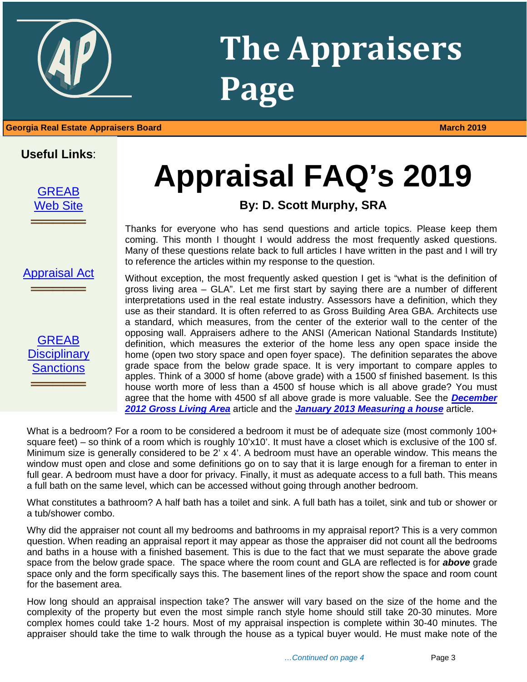## **The Appraisers Page**

### 1 **Georgia Real Estate Appraisers Board March 2019**

**Useful Links**:



[Appraisal Act](http://www.grec.state.ga.us/about/appraisersact.html) ═════════════════<br>══════════════════

[GREAB](http://www.grec.state.ga.us/about/apprsanctions.html)  **Disciplinary [Sanctions](http://www.grec.state.ga.us/about/apprsanctions.html)** 

═════════════════<br>══════════════════

## **Appraisal FAQ's 2019**

### **By: D. Scott Murphy, SRA**

Thanks for everyone who has send questions and article topics. Please keep them coming. This month I thought I would address the most frequently asked questions. Many of these questions relate back to full articles I have written in the past and I will try to reference the articles within my response to the question.

Without exception, the most frequently asked question I get is "what is the definition of gross living area – GLA". Let me first start by saying there are a number of different interpretations used in the real estate industry. Assessors have a definition, which they use as their standard. It is often referred to as Gross Building Area GBA. Architects use a standard, which measures, from the center of the exterior wall to the center of the opposing wall. Appraisers adhere to the ANSI (American National Standards Institute) definition, which measures the exterior of the home less any open space inside the home (open two story space and open foyer space). The definition separates the above grade space from the below grade space. It is very important to compare apples to apples. Think of a 3000 sf home (above grade) with a 1500 sf finished basement. Is this house worth more of less than a 4500 sf house which is all above grade? You must agree that the home with 4500 sf all above grade is more valuable. See the *[December](http://www.grec.state.ga.us/)  [2012 Gross Living Area](http://www.grec.state.ga.us/)* article and the *[January 2013 Measuring a house](http://www.grec.state.ga.us/)* article.

What is a bedroom? For a room to be considered a bedroom it must be of adequate size (most commonly 100+ square feet) – so think of a room which is roughly 10'x10'. It must have a closet which is exclusive of the 100 sf. Minimum size is generally considered to be 2' x 4'. A bedroom must have an operable window. This means the window must open and close and some definitions go on to say that it is large enough for a fireman to enter in full gear. A bedroom must have a door for privacy. Finally, it must as adequate access to a full bath. This means a full bath on the same level, which can be accessed without going through another bedroom.

What constitutes a bathroom? A half bath has a toilet and sink. A full bath has a toilet, sink and tub or shower or a tub/shower combo.

Why did the appraiser not count all my bedrooms and bathrooms in my appraisal report? This is a very common question. When reading an appraisal report it may appear as those the appraiser did not count all the bedrooms and baths in a house with a finished basement. This is due to the fact that we must separate the above grade space from the below grade space. The space where the room count and GLA are reflected is for *above* grade space only and the form specifically says this. The basement lines of the report show the space and room count for the basement area.

How long should an appraisal inspection take? The answer will vary based on the size of the home and the complexity of the property but even the most simple ranch style home should still take 20-30 minutes. More complex homes could take 1-2 hours. Most of my appraisal inspection is complete within 30-40 minutes. The appraiser should take the time to walk through the house as a typical buyer would. He must make note of the